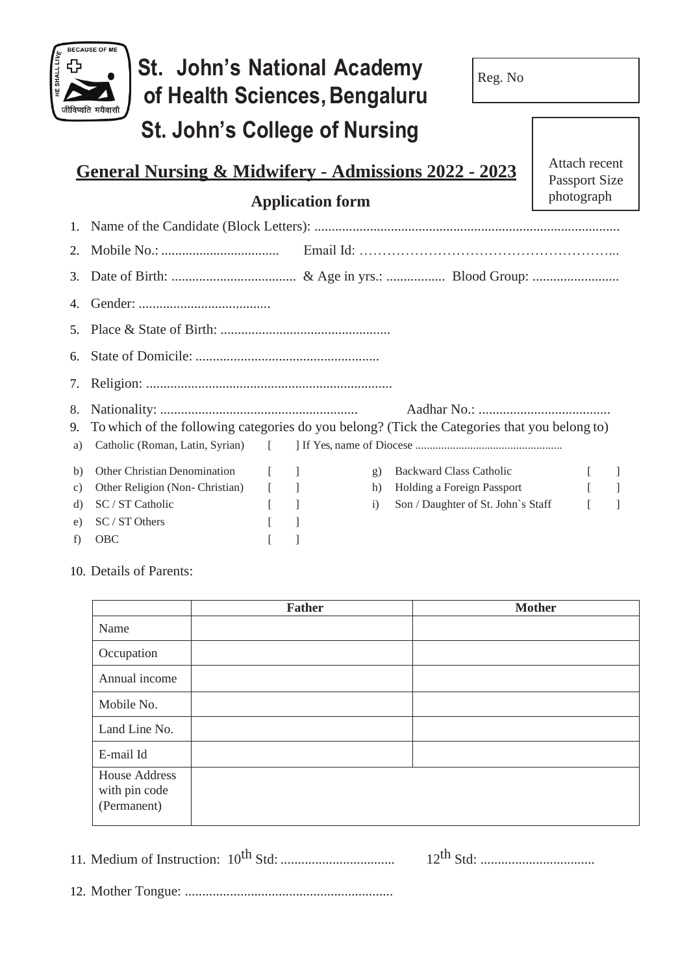

10. Details of Parents:

|                                                      | <b>Father</b> | <b>Mother</b> |
|------------------------------------------------------|---------------|---------------|
| Name                                                 |               |               |
| Occupation                                           |               |               |
| Annual income                                        |               |               |
| Mobile No.                                           |               |               |
| Land Line No.                                        |               |               |
| E-mail Id                                            |               |               |
| <b>House Address</b><br>with pin code<br>(Permanent) |               |               |

11. Medium of Instruction: 10th Std: ................................. 12th Std: .................................

12. Mother Tongue: ............................................................